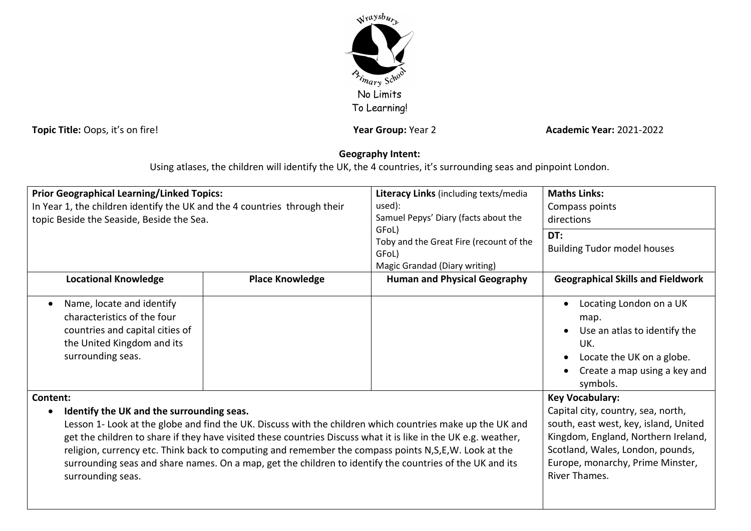

**Topic Title:** Oops, it's on fire! **Year Stroup: Year Group:** Year 2 **Academic Year:** 2021-2022

## **Geography Intent:**

Using atlases, the children will identify the UK, the 4 countries, it's surrounding seas and pinpoint London.

| <b>Prior Geographical Learning/Linked Topics:</b><br>In Year 1, the children identify the UK and the 4 countries through their<br>topic Beside the Seaside, Beside the Sea.                                                                                                                                                                                                                                                                                             |                        | Literacy Links (including texts/media<br>used):<br>Samuel Pepys' Diary (facts about the<br>GFoL)<br>Toby and the Great Fire (recount of the<br>GFoL)<br>Magic Grandad (Diary writing) | <b>Maths Links:</b><br>Compass points<br>directions<br>DT:<br><b>Building Tudor model houses</b>                                                                      |
|-------------------------------------------------------------------------------------------------------------------------------------------------------------------------------------------------------------------------------------------------------------------------------------------------------------------------------------------------------------------------------------------------------------------------------------------------------------------------|------------------------|---------------------------------------------------------------------------------------------------------------------------------------------------------------------------------------|-----------------------------------------------------------------------------------------------------------------------------------------------------------------------|
| <b>Locational Knowledge</b>                                                                                                                                                                                                                                                                                                                                                                                                                                             | <b>Place Knowledge</b> | <b>Human and Physical Geography</b>                                                                                                                                                   | <b>Geographical Skills and Fieldwork</b>                                                                                                                              |
| Name, locate and identify<br>$\bullet$<br>characteristics of the four<br>countries and capital cities of<br>the United Kingdom and its<br>surrounding seas.                                                                                                                                                                                                                                                                                                             |                        |                                                                                                                                                                                       | Locating London on a UK<br>map.<br>Use an atlas to identify the<br>UK.<br>Locate the UK on a globe.<br>Create a map using a key and<br>symbols.                       |
| Content:<br>Identify the UK and the surrounding seas.<br>$\bullet$                                                                                                                                                                                                                                                                                                                                                                                                      |                        |                                                                                                                                                                                       | <b>Key Vocabulary:</b><br>Capital city, country, sea, north,                                                                                                          |
| Lesson 1- Look at the globe and find the UK. Discuss with the children which countries make up the UK and<br>get the children to share if they have visited these countries Discuss what it is like in the UK e.g. weather,<br>religion, currency etc. Think back to computing and remember the compass points N, S, E, W. Look at the<br>surrounding seas and share names. On a map, get the children to identify the countries of the UK and its<br>surrounding seas. |                        |                                                                                                                                                                                       | south, east west, key, island, United<br>Kingdom, England, Northern Ireland,<br>Scotland, Wales, London, pounds,<br>Europe, monarchy, Prime Minster,<br>River Thames. |